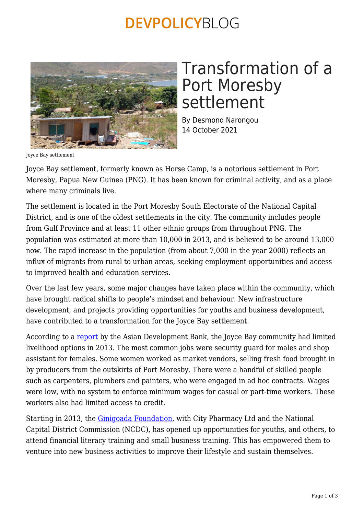### **DEVPOLICYBLOG**



# Transformation of a Port Moresby settlement

By Desmond Narongou 14 October 2021

Joyce Bay settlement

Joyce Bay settlement, formerly known as Horse Camp, is a notorious settlement in Port Moresby, Papua New Guinea (PNG). It has been known for criminal activity, and as a place where many criminals live.

The settlement is located in the Port Moresby South Electorate of the National Capital District, and is one of the oldest settlements in the city. The community includes people from Gulf Province and at least 11 other ethnic groups from throughout PNG. The population was estimated at more than 10,000 in 2013, and is believed to be around 13,000 now. The rapid increase in the population (from about 7,000 in the year 2000) reflects an influx of migrants from rural to urban areas, seeking employment opportunities and access to improved health and education services.

Over the last few years, some major changes have taken place within the community, which have brought radical shifts to people's mindset and behaviour. New infrastructure development, and projects providing opportunities for youths and business development, have contributed to a transformation for the Joyce Bay settlement.

According to a [report](https://www.adb.org/sites/default/files/publication/30407/fragility-assessment-informal-urban-settlement-png.pdf) by the Asian Development Bank, the Joyce Bay community had limited livelihood options in 2013. The most common jobs were security guard for males and shop assistant for females. Some women worked as market vendors, selling fresh food brought in by producers from the outskirts of Port Moresby. There were a handful of skilled people such as carpenters, plumbers and painters, who were engaged in ad hoc contracts. Wages were low, with no system to enforce minimum wages for casual or part-time workers. These workers also had limited access to credit.

Starting in 2013, the [Ginigoada Foundation,](https://www.youtube.com/watch?v=h-jw-0sdX4U) with City Pharmacy Ltd and the National Capital District Commission (NCDC), has opened up opportunities for youths, and others, to attend financial literacy training and small business training. This has empowered them to venture into new business activities to improve their lifestyle and sustain themselves.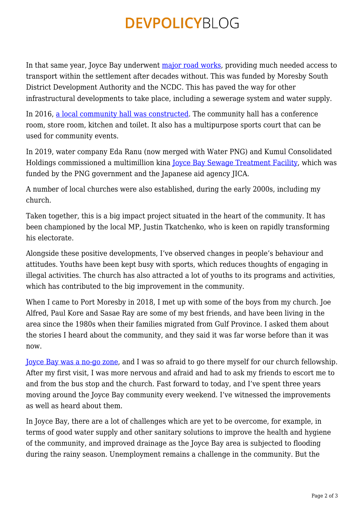### **DEVPOLICYBLOG**

In that same year, Joyce Bay underwent [major road works,](https://www.youtube.com/watch?v=laPf6trdUt0) providing much needed access to transport within the settlement after decades without. This was funded by Moresby South District Development Authority and the NCDC. This has paved the way for other infrastructural developments to take place, including a sewerage system and water supply.

In 2016, [a local community hall was constructed](https://www.facebook.com/pngtelevision/posts/joyce-bay-settlement-gets-new-community-hall-by-tokana-hasavi-jr-one-of-port-mor/1263330530349291/). The community hall has a conference room, store room, kitchen and toilet. It also has a multipurpose sports court that can be used for community events.

In 2019, water company Eda Ranu (now merged with Water PNG) and Kumul Consolidated Holdings commissioned a multimillion kina [Joyce Bay Sewage Treatment Facility,](https://www.kch.com.pg/multimillion-kina-joyce-bay-sewage-treatment-facility-commissioned/) which was funded by the PNG government and the Japanese aid agency JICA.

A number of local churches were also established, during the early 2000s, including my church.

Taken together, this is a big impact project situated in the heart of the community. It has been championed by the local MP, Justin Tkatchenko, who is keen on rapidly transforming his electorate.

Alongside these positive developments, I've observed changes in people's behaviour and attitudes. Youths have been kept busy with sports, which reduces thoughts of engaging in illegal activities. The church has also attracted a lot of youths to its programs and activities, which has contributed to the big improvement in the community.

When I came to Port Moresby in 2018, I met up with some of the boys from my church. Joe Alfred, Paul Kore and Sasae Ray are some of my best friends, and have been living in the area since the 1980s when their families migrated from Gulf Province. I asked them about the stories I heard about the community, and they said it was far worse before than it was now.

[Joyce Bay was a no-go zone](https://www.facebook.com/pngtelevision/posts/joyce-bay-settlement-gets-new-community-hall-by-tokana-hasavi-jr-one-of-port-mor/1263330530349291/), and I was so afraid to go there myself for our church fellowship. After my first visit, I was more nervous and afraid and had to ask my friends to escort me to and from the bus stop and the church. Fast forward to today, and I've spent three years moving around the Joyce Bay community every weekend. I've witnessed the improvements as well as heard about them.

In Joyce Bay, there are a lot of challenges which are yet to be overcome, for example, in terms of good water supply and other sanitary solutions to improve the health and hygiene of the community, and improved drainage as the Joyce Bay area is subjected to flooding during the rainy season. Unemployment remains a challenge in the community. But the